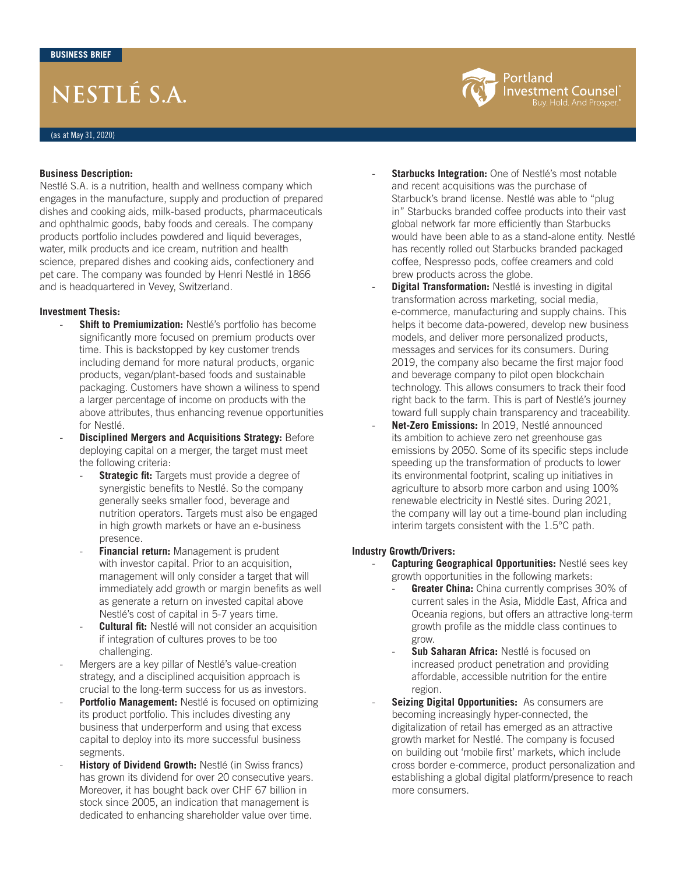# **NESTLÉ S.A.**

#### **Business Description:**

Nestlé S.A. is a nutrition, health and wellness company which engages in the manufacture, supply and production of prepared dishes and cooking aids, milk-based products, pharmaceuticals and ophthalmic goods, baby foods and cereals. The company products portfolio includes powdered and liquid beverages, water, milk products and ice cream, nutrition and health science, prepared dishes and cooking aids, confectionery and pet care. The company was founded by Henri Nestlé in 1866 and is headquartered in Vevey, Switzerland.

#### **Investment Thesis:**

- Shift to Premiumization: Nestlé's portfolio has become significantly more focused on premium products over time. This is backstopped by key customer trends including demand for more natural products, organic products, vegan/plant-based foods and sustainable packaging. Customers have shown a wiliness to spend a larger percentage of income on products with the above attributes, thus enhancing revenue opportunities for Nestlé.
- **Disciplined Mergers and Acquisitions Strategy: Before** deploying capital on a merger, the target must meet the following criteria:
	- **Strategic fit:** Targets must provide a degree of synergistic benefits to Nestlé. So the company generally seeks smaller food, beverage and nutrition operators. Targets must also be engaged in high growth markets or have an e-business presence.
	- **Financial return:** Management is prudent with investor capital. Prior to an acquisition, management will only consider a target that will immediately add growth or margin benefits as well as generate a return on invested capital above Nestlé's cost of capital in 5-7 years time.
	- **Cultural fit:** Nestlé will not consider an acquisition if integration of cultures proves to be too challenging.
- Mergers are a key pillar of Nestlé's value-creation strategy, and a disciplined acquisition approach is crucial to the long-term success for us as investors.
- **Portfolio Management:** Nestlé is focused on optimizing its product portfolio. This includes divesting any business that underperform and using that excess capital to deploy into its more successful business segments.
- **History of Dividend Growth: Nestlé (in Swiss francs)** has grown its dividend for over 20 consecutive years. Moreover, it has bought back over CHF 67 billion in stock since 2005, an indication that management is dedicated to enhancing shareholder value over time.

**Starbucks Integration:** One of Nestlé's most notable and recent acquisitions was the purchase of Starbuck's brand license. Nestlé was able to "plug in" Starbucks branded coffee products into their vast global network far more efficiently than Starbucks would have been able to as a stand-alone entity. Nestlé has recently rolled out Starbucks branded packaged coffee, Nespresso pods, coffee creamers and cold brew products across the globe.

Portland

**Investment Counsel** Buy. Hold. And Prosper.

- **Digital Transformation:** Nestlé is investing in digital transformation across marketing, social media, e-commerce, manufacturing and supply chains. This helps it become data-powered, develop new business models, and deliver more personalized products, messages and services for its consumers. During 2019, the company also became the first major food and beverage company to pilot open blockchain technology. This allows consumers to track their food right back to the farm. This is part of Nestlé's journey toward full supply chain transparency and traceability.
- Net-Zero Emissions: In 2019, Nestlé announced its ambition to achieve zero net greenhouse gas emissions by 2050. Some of its specific steps include speeding up the transformation of products to lower its environmental footprint, scaling up initiatives in agriculture to absorb more carbon and using 100% renewable electricity in Nestlé sites. During 2021, the company will lay out a time-bound plan including interim targets consistent with the 1.5°C path.

### **Industry Growth/Drivers:**

- **Capturing Geographical Opportunities:** Nestlé sees key growth opportunities in the following markets:

- Greater China: China currently comprises 30% of current sales in the Asia, Middle East, Africa and Oceania regions, but offers an attractive long-term growth profile as the middle class continues to grow.
- **Sub Saharan Africa:** Nestlé is focused on increased product penetration and providing affordable, accessible nutrition for the entire region.
- **Seizing Digital Opportunities:** As consumers are becoming increasingly hyper-connected, the digitalization of retail has emerged as an attractive growth market for Nestlé. The company is focused on building out 'mobile first' markets, which include cross border e-commerce, product personalization and establishing a global digital platform/presence to reach more consumers.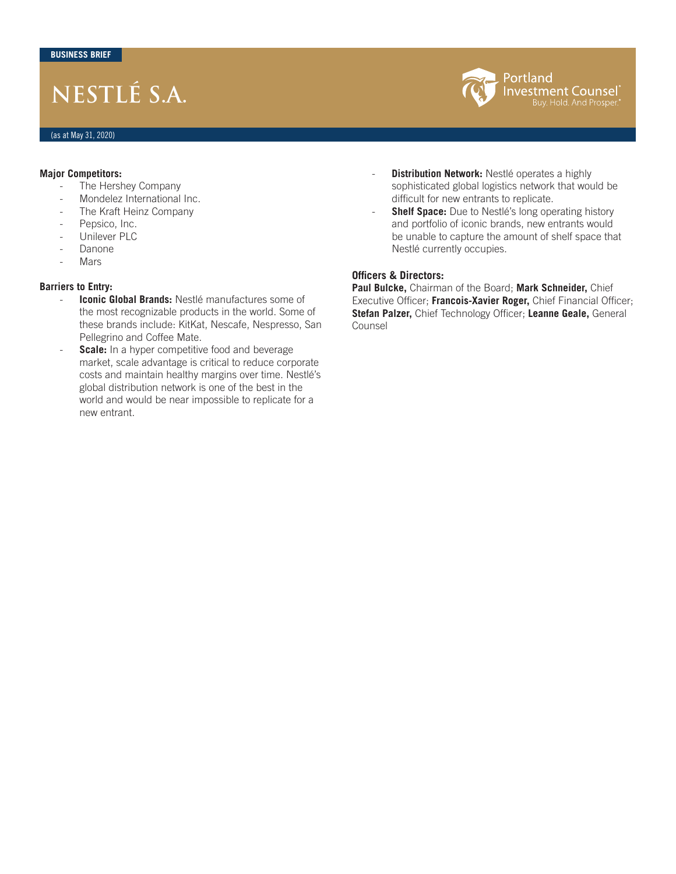## **NESTLÉ S.A.**



#### **Major Competitors:**

- The Hershey Company
- Mondelez International Inc.
- The Kraft Heinz Company
- Pepsico, Inc.
- Unilever PLC
- Danone
- **Mars**

### **Barriers to Entry:**

- **Iconic Global Brands: Nestlé manufactures some of** the most recognizable products in the world. Some of these brands include: KitKat, Nescafe, Nespresso, San Pellegrino and Coffee Mate.
- **Scale:** In a hyper competitive food and beverage market, scale advantage is critical to reduce corporate costs and maintain healthy margins over time. Nestlé's global distribution network is one of the best in the world and would be near impossible to replicate for a new entrant.
- **Distribution Network:** Nestlé operates a highly sophisticated global logistics network that would be difficult for new entrants to replicate.
- **Shelf Space:** Due to Nestlé's long operating history and portfolio of iconic brands, new entrants would be unable to capture the amount of shelf space that Nestlé currently occupies.

## **Officers & Directors:**

**Paul Bulcke,** Chairman of the Board; **Mark Schneider,** Chief Executive Officer; **Francois-Xavier Roger,** Chief Financial Officer; **Stefan Palzer,** Chief Technology Officer; **Leanne Geale,** General Counsel